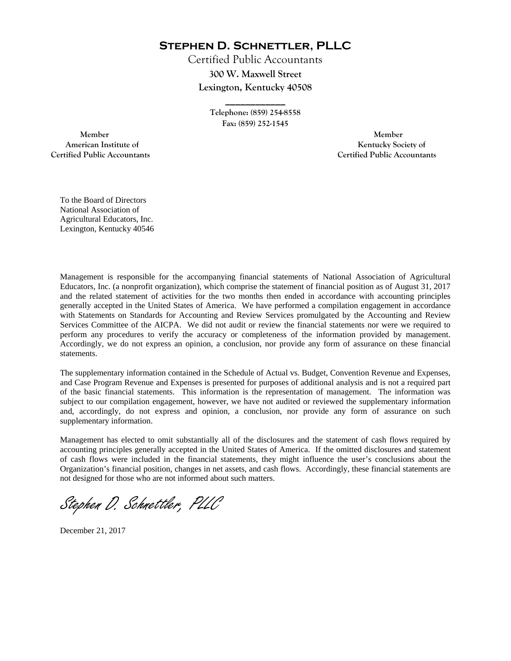**Stephen D. Schnettler, PLLC**

Certified Public Accountants **300 W. Maxwell Street Lexington, Kentucky 40508** 

> **Telephone: (859) 254-8558 Fax: (859) 252-1545**

**\_\_\_\_\_\_\_\_\_\_\_\_** 

 **Member Member Certified Public Accountants Certified Public Accountants** 

American Institute of **Kentucky Society of American Institute of** 

To the Board of Directors National Association of Agricultural Educators, Inc. Lexington, Kentucky 40546

Management is responsible for the accompanying financial statements of National Association of Agricultural Educators, Inc. (a nonprofit organization), which comprise the statement of financial position as of August 31, 2017 and the related statement of activities for the two months then ended in accordance with accounting principles generally accepted in the United States of America. We have performed a compilation engagement in accordance with Statements on Standards for Accounting and Review Services promulgated by the Accounting and Review Services Committee of the AICPA. We did not audit or review the financial statements nor were we required to perform any procedures to verify the accuracy or completeness of the information provided by management. Accordingly, we do not express an opinion, a conclusion, nor provide any form of assurance on these financial statements.

The supplementary information contained in the Schedule of Actual vs. Budget, Convention Revenue and Expenses, and Case Program Revenue and Expenses is presented for purposes of additional analysis and is not a required part of the basic financial statements. This information is the representation of management. The information was subject to our compilation engagement, however, we have not audited or reviewed the supplementary information and, accordingly, do not express and opinion, a conclusion, nor provide any form of assurance on such supplementary information.

Management has elected to omit substantially all of the disclosures and the statement of cash flows required by accounting principles generally accepted in the United States of America. If the omitted disclosures and statement of cash flows were included in the financial statements, they might influence the user's conclusions about the Organization's financial position, changes in net assets, and cash flows. Accordingly, these financial statements are not designed for those who are not informed about such matters.

Stephen D. Schnettler, PLLC

December 21, 2017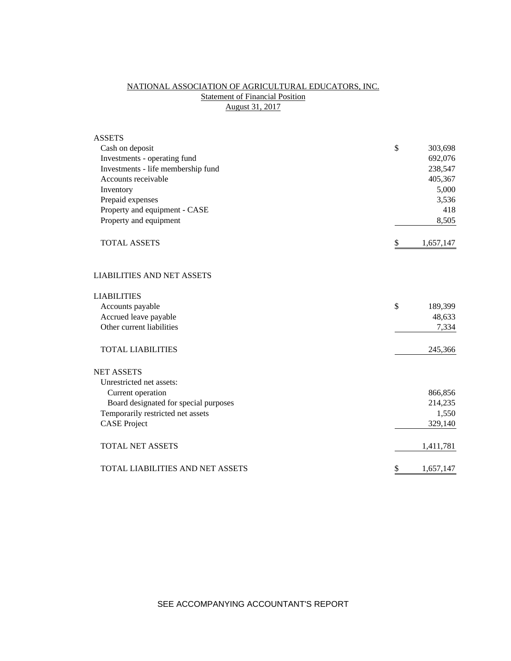# NATIONAL ASSOCIATION OF AGRICULTURAL EDUCATORS, INC. **Statement of Financial Position** August 31, 2017

| <b>ASSETS</b>                         |                 |
|---------------------------------------|-----------------|
| Cash on deposit                       | \$<br>303,698   |
| Investments - operating fund          | 692,076         |
| Investments - life membership fund    | 238,547         |
| Accounts receivable                   | 405,367         |
| Inventory                             | 5,000           |
| Prepaid expenses                      | 3,536           |
| Property and equipment - CASE         | 418             |
| Property and equipment                | 8,505           |
| <b>TOTAL ASSETS</b>                   | \$<br>1,657,147 |
| <b>LIABILITIES AND NET ASSETS</b>     |                 |
| <b>LIABILITIES</b>                    |                 |
| Accounts payable                      | \$<br>189,399   |
| Accrued leave payable                 | 48,633          |
| Other current liabilities             | 7,334           |
| <b>TOTAL LIABILITIES</b>              | 245,366         |
| <b>NET ASSETS</b>                     |                 |
| Unrestricted net assets:              |                 |
| Current operation                     | 866,856         |
| Board designated for special purposes | 214,235         |
| Temporarily restricted net assets     | 1,550           |
| <b>CASE Project</b>                   | 329,140         |
| <b>TOTAL NET ASSETS</b>               | 1,411,781       |
| TOTAL LIABILITIES AND NET ASSETS      | \$<br>1,657,147 |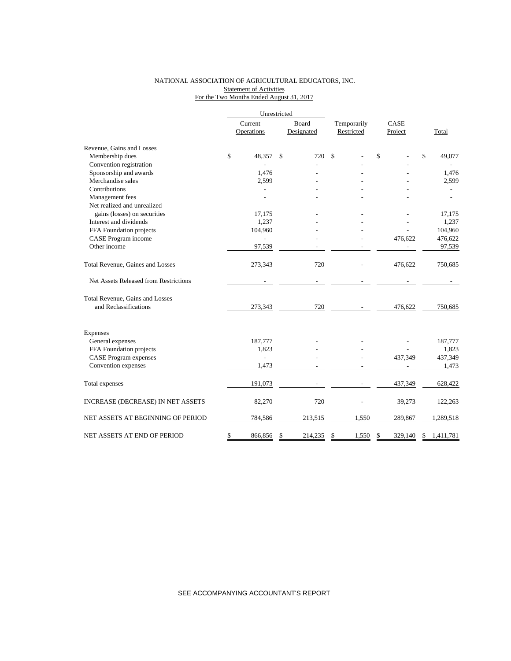#### NATIONAL ASSOCIATION OF AGRICULTURAL EDUCATORS, INC. **Statement of Activities** For the Two Months Ended August 31, 2017

|                                       | Unrestricted |                |               |            |             |    |         |    |           |
|---------------------------------------|--------------|----------------|---------------|------------|-------------|----|---------|----|-----------|
|                                       |              | Current        |               | Board      | Temporarily |    | CASE    |    |           |
|                                       |              | Operations     |               | Designated | Restricted  |    | Project |    | Total     |
| Revenue, Gains and Losses             |              |                |               |            |             |    |         |    |           |
| Membership dues                       | \$           | 48,357         | <sup>\$</sup> | 720        | \$          | \$ |         | \$ | 49,077    |
| Convention registration               |              |                |               |            |             |    |         |    |           |
| Sponsorship and awards                |              | 1,476          |               |            |             |    |         |    | 1,476     |
| Merchandise sales                     |              | 2,599          |               |            |             |    |         |    | 2,599     |
| Contributions                         |              |                |               |            |             |    |         |    |           |
| Management fees                       |              |                |               |            |             |    |         |    | ÷,        |
| Net realized and unrealized           |              |                |               |            |             |    |         |    |           |
| gains (losses) on securities          |              | 17,175         |               |            |             |    |         |    | 17,175    |
| Interest and dividends                |              | 1,237          |               |            |             |    |         |    | 1,237     |
| FFA Foundation projects               |              | 104,960        |               |            |             |    |         |    | 104,960   |
| CASE Program income                   |              |                |               |            |             |    | 476,622 |    | 476,622   |
| Other income                          |              | 97,539         |               |            |             |    |         |    | 97,539    |
| Total Revenue, Gaines and Losses      |              | 273,343        |               | 720        |             |    | 476,622 |    | 750,685   |
| Net Assets Released from Restrictions |              |                |               |            |             |    |         |    |           |
| Total Revenue, Gains and Losses       |              |                |               |            |             |    |         |    |           |
| and Reclassifications                 |              | 273,343        |               | 720        |             |    | 476,622 |    | 750,685   |
| Expenses                              |              |                |               |            |             |    |         |    |           |
| General expenses                      |              | 187,777        |               |            |             |    |         |    | 187,777   |
| FFA Foundation projects               |              | 1,823          |               |            |             |    |         |    | 1,823     |
| <b>CASE</b> Program expenses          |              | $\overline{a}$ |               |            |             |    | 437,349 |    | 437,349   |
| Convention expenses                   |              | 1,473          |               |            |             |    |         |    | 1,473     |
| Total expenses                        |              | 191,073        |               |            |             |    | 437,349 |    | 628,422   |
|                                       |              |                |               |            |             |    |         |    |           |
| INCREASE (DECREASE) IN NET ASSETS     |              | 82,270         |               | 720        |             |    | 39,273  |    | 122,263   |
| NET ASSETS AT BEGINNING OF PERIOD     |              | 784,586        |               | 213,515    | 1,550       |    | 289,867 |    | 1,289,518 |
| NET ASSETS AT END OF PERIOD           | \$           | 866,856        | \$            | 214,235    | \$<br>1,550 | S  | 329.140 | \$ | 1,411,781 |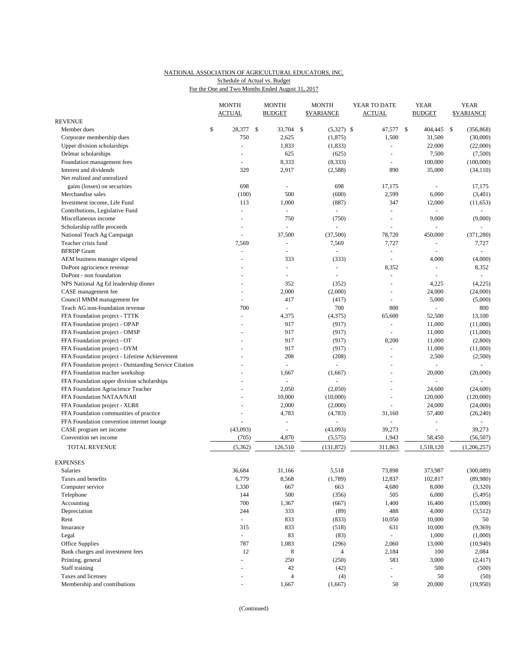## NATIONAL ASSOCIATION OF AGRICULTURAL EDUCATORS, INC. Schedule of Actual vs. Budget

For the One and Two Months Ended August 31, 2017

|                                                       | <b>MONTH</b>   | <b>MONTH</b>             | <b>MONTH</b>       | YEAR TO DATE                                                                                                                                                                                                                                                                                                                                                                                                                                                               | <b>YEAR</b>    |      | <b>YEAR</b>       |
|-------------------------------------------------------|----------------|--------------------------|--------------------|----------------------------------------------------------------------------------------------------------------------------------------------------------------------------------------------------------------------------------------------------------------------------------------------------------------------------------------------------------------------------------------------------------------------------------------------------------------------------|----------------|------|-------------------|
| <b>REVENUE</b>                                        | <b>ACTUAL</b>  | <b>BUDGET</b>            | <b>\$VARIANCE</b>  | <b>ACTUAL</b>                                                                                                                                                                                                                                                                                                                                                                                                                                                              | <b>BUDGET</b>  |      | <b>\$VARIANCE</b> |
| Member dues                                           | \$<br>28,377   | \$<br>33,704             | \$<br>$(5,327)$ \$ | 47,577                                                                                                                                                                                                                                                                                                                                                                                                                                                                     | \$<br>404,445  | - \$ | (356, 868)        |
| Corporate membership dues                             | 750            | 2,625                    | (1, 875)           | 1,500                                                                                                                                                                                                                                                                                                                                                                                                                                                                      | 31,500         |      | (30,000)          |
| Upper division scholarships                           | ä,             | 1,833                    | (1, 833)           | ÷,                                                                                                                                                                                                                                                                                                                                                                                                                                                                         | 22,000         |      | (22,000)          |
| Delmar scholarships                                   |                | 625                      | (625)              | L.                                                                                                                                                                                                                                                                                                                                                                                                                                                                         | 7,500          |      | (7,500)           |
| Foundation management fees                            | ÷              | 8,333                    | (8, 333)           | L,                                                                                                                                                                                                                                                                                                                                                                                                                                                                         | 100,000        |      | (100,000)         |
| Interest and dividends                                | 329            | 2,917                    | (2, 588)           | 890                                                                                                                                                                                                                                                                                                                                                                                                                                                                        | 35,000         |      | (34, 110)         |
| Net realized and unrealized                           |                |                          |                    |                                                                                                                                                                                                                                                                                                                                                                                                                                                                            |                |      |                   |
| gains (losses) on securities                          | 698            | ä,                       | 698                | 17,175                                                                                                                                                                                                                                                                                                                                                                                                                                                                     |                |      | 17,175            |
| Merchandise sales                                     | (100)          | 500                      | (600)              | 2,599                                                                                                                                                                                                                                                                                                                                                                                                                                                                      | 6,000          |      | (3,401)           |
| Investment income, Life Fund                          | 113            | 1,000                    | (887)              | 347                                                                                                                                                                                                                                                                                                                                                                                                                                                                        | 12,000         |      | (11, 653)         |
| Contributions, Legislative Fund                       | ä,             | $\sim$                   | $\overline{a}$     | L.                                                                                                                                                                                                                                                                                                                                                                                                                                                                         |                |      |                   |
|                                                       |                | 750                      | (750)              | L,                                                                                                                                                                                                                                                                                                                                                                                                                                                                         | 9,000          |      | (9,000)           |
| Miscellaneous income                                  |                |                          |                    |                                                                                                                                                                                                                                                                                                                                                                                                                                                                            |                |      |                   |
| Scholarship raffle proceeds                           |                | $\overline{\phantom{a}}$ | ÷                  |                                                                                                                                                                                                                                                                                                                                                                                                                                                                            |                |      |                   |
| National Teach Ag Campaign                            | L,             | 37,500                   | (37,500)           | 78,720                                                                                                                                                                                                                                                                                                                                                                                                                                                                     | 450,000        |      | (371, 280)        |
| Teacher crisis fund                                   | 7,569          | $\overline{\phantom{a}}$ | 7,569              | 7,727                                                                                                                                                                                                                                                                                                                                                                                                                                                                      | L,             |      | 7,727             |
| <b>BFRDP</b> Grant                                    | $\blacksquare$ |                          |                    | $\sim$                                                                                                                                                                                                                                                                                                                                                                                                                                                                     |                |      |                   |
| AEM business manager stipend                          | $\overline{a}$ | 333                      | (333)              | $\sim$                                                                                                                                                                                                                                                                                                                                                                                                                                                                     | 4,000          |      | (4,000)           |
| DuPont agriscience revenue                            |                | ä,                       |                    | 8,352                                                                                                                                                                                                                                                                                                                                                                                                                                                                      | L,             |      | 8,352             |
| DuPont - non foundation                               |                | $\overline{\phantom{a}}$ | $\overline{a}$     | $\sim$                                                                                                                                                                                                                                                                                                                                                                                                                                                                     | $\overline{a}$ |      | $\sim$            |
| NPS National Ag Ed leadership dinner                  |                | 352                      | (352)              |                                                                                                                                                                                                                                                                                                                                                                                                                                                                            | 4,225          |      | (4,225)           |
| CASE management fee                                   | ÷              | 2,000                    | (2,000)            | $\overline{a}$                                                                                                                                                                                                                                                                                                                                                                                                                                                             | 24,000         |      | (24,000)          |
| Council MMM management fee                            | ä,             | 417                      | (417)              | ÷,                                                                                                                                                                                                                                                                                                                                                                                                                                                                         | 5,000          |      | (5,000)           |
| Teach AG non-foundation revenue                       | 700            | $\blacksquare$           | 700                | 800                                                                                                                                                                                                                                                                                                                                                                                                                                                                        |                |      | 800               |
| FFA Foundation project - TTTK                         | ä,             | 4,375                    | (4,375)            | 65,600                                                                                                                                                                                                                                                                                                                                                                                                                                                                     | 52,500         |      | 13,100            |
| FFA Foundation project - OPAP                         |                | 917                      | (917)              | $\blacksquare$                                                                                                                                                                                                                                                                                                                                                                                                                                                             | 11,000         |      | (11,000)          |
| FFA Foundation project - OMSP                         |                | 917                      | (917)              | $\sim$                                                                                                                                                                                                                                                                                                                                                                                                                                                                     | 11,000         |      | (11,000)          |
| FFA Foundation project - OT                           |                | 917                      | (917)              | 8,200                                                                                                                                                                                                                                                                                                                                                                                                                                                                      | 11,000         |      | (2,800)           |
| FFA Foundation project - OYM                          |                | 917                      | (917)              | $\blacksquare$                                                                                                                                                                                                                                                                                                                                                                                                                                                             | 11,000         |      | (11,000)          |
| FFA Foundation project - Lifetime Achievement         |                | 208                      | (208)              | $\sim$                                                                                                                                                                                                                                                                                                                                                                                                                                                                     | 2,500          |      | (2,500)           |
| FFA Foundation project - Outstanding Service Citation |                | ä,                       | $\sim$             | $\sim$                                                                                                                                                                                                                                                                                                                                                                                                                                                                     | ÷,             |      | $\sim$            |
| FFA Foundation teacher workshop                       |                | 1,667                    | (1,667)            |                                                                                                                                                                                                                                                                                                                                                                                                                                                                            | 20,000         |      | (20,000)          |
| FFA Foundation upper division scholarships            |                | $\overline{\phantom{a}}$ |                    | $\blacksquare$                                                                                                                                                                                                                                                                                                                                                                                                                                                             | L.             |      |                   |
| FFA Foundation Agriscience Teacher                    |                | 2,050                    | (2,050)            | $\overline{a}$                                                                                                                                                                                                                                                                                                                                                                                                                                                             | 24,600         |      | (24,600)          |
| FFA Foundation NATAA/NAII                             |                | 10,000                   | (10,000)           | $\overline{a}$                                                                                                                                                                                                                                                                                                                                                                                                                                                             | 120,000        |      | (120,000)         |
| FFA Foundation project - XLR8                         |                | 2,000                    | (2,000)            | ÷,                                                                                                                                                                                                                                                                                                                                                                                                                                                                         | 24,000         |      | (24,000)          |
| FFA Foundation communities of practice                |                | 4,783                    | (4,783)            | 31,160                                                                                                                                                                                                                                                                                                                                                                                                                                                                     | 57,400         |      | (26, 240)         |
| FFA Foundation convention internet lounge             |                | $\overline{\phantom{a}}$ |                    | L,                                                                                                                                                                                                                                                                                                                                                                                                                                                                         | ÷,             |      |                   |
| CASE program net income                               | (43,093)       | $\blacksquare$           | (43,093)           | 39,273                                                                                                                                                                                                                                                                                                                                                                                                                                                                     |                |      | 39,273            |
| Convention net income                                 | (705)          | 4,870                    | (5, 575)           | 1,943                                                                                                                                                                                                                                                                                                                                                                                                                                                                      | 58,450         |      | (56, 507)         |
|                                                       |                |                          |                    |                                                                                                                                                                                                                                                                                                                                                                                                                                                                            |                |      |                   |
| TOTAL REVENUE                                         | (5, 362)       | 126,510                  | (131, 872)         | 311,863                                                                                                                                                                                                                                                                                                                                                                                                                                                                    | 1,518,120      |      | (1,206,257)       |
| <b>EXPENSES</b>                                       |                |                          |                    |                                                                                                                                                                                                                                                                                                                                                                                                                                                                            |                |      |                   |
| Salaries                                              | 36,684         | 31,166                   | 5,518              | 73,898                                                                                                                                                                                                                                                                                                                                                                                                                                                                     | 373,987        |      | (300, 089)        |
| Taxes and benefits                                    | 6,779          | 8,568                    | (1,789)            | 12,837                                                                                                                                                                                                                                                                                                                                                                                                                                                                     | 102,817        |      | (89,980)          |
| Computer service                                      | 1,330          | 667                      | 663                | 4,680                                                                                                                                                                                                                                                                                                                                                                                                                                                                      | 8,000          |      | (3,320)           |
| Telephone                                             | 144            | 500                      | (356)              | 505                                                                                                                                                                                                                                                                                                                                                                                                                                                                        | 6,000          |      | (5, 495)          |
| Accounting                                            | 700            | 1,367                    | (667)              | 1,400                                                                                                                                                                                                                                                                                                                                                                                                                                                                      | 16,400         |      | (15,000)          |
| Depreciation                                          | 244            | 333                      | (89)               | 488                                                                                                                                                                                                                                                                                                                                                                                                                                                                        | 4,000          |      | (3,512)           |
| Rent                                                  | ÷.             | 833                      | (833)              | 10,050                                                                                                                                                                                                                                                                                                                                                                                                                                                                     | 10,000         |      | 50                |
| Insurance                                             | 315            | 833                      | (518)              | 631                                                                                                                                                                                                                                                                                                                                                                                                                                                                        | 10,000         |      | (9,369)           |
| Legal                                                 | ÷.             | 83                       | (83)               | $\omega$                                                                                                                                                                                                                                                                                                                                                                                                                                                                   | 1,000          |      | (1,000)           |
| Office Supplies                                       | 787            |                          |                    |                                                                                                                                                                                                                                                                                                                                                                                                                                                                            |                |      |                   |
|                                                       | 12             | 1,083                    | (296)              | 2,060                                                                                                                                                                                                                                                                                                                                                                                                                                                                      | 13,000         |      | (10,940)          |
| Bank charges and investment fees                      |                | 8                        | $\overline{4}$     | 2,184                                                                                                                                                                                                                                                                                                                                                                                                                                                                      | 100            |      | 2,084             |
| Printing, general                                     | ä,             | 250                      | (250)              | 583                                                                                                                                                                                                                                                                                                                                                                                                                                                                        | 3,000          |      | (2, 417)          |
| Staff training                                        |                | $42\,$                   | (42)               | ÷,                                                                                                                                                                                                                                                                                                                                                                                                                                                                         | 500            |      | (500)             |
| Taxes and licenses                                    | $\blacksquare$ | $\overline{4}$           | (4)                | $\frac{1}{2} \left( \frac{1}{2} \right) \left( \frac{1}{2} \right) \left( \frac{1}{2} \right) \left( \frac{1}{2} \right) \left( \frac{1}{2} \right) \left( \frac{1}{2} \right) \left( \frac{1}{2} \right) \left( \frac{1}{2} \right) \left( \frac{1}{2} \right) \left( \frac{1}{2} \right) \left( \frac{1}{2} \right) \left( \frac{1}{2} \right) \left( \frac{1}{2} \right) \left( \frac{1}{2} \right) \left( \frac{1}{2} \right) \left( \frac{1}{2} \right) \left( \frac$ | 50             |      | (50)              |
| Membership and contributions                          | $\blacksquare$ | 1,667                    | (1,667)            | 50                                                                                                                                                                                                                                                                                                                                                                                                                                                                         | 20,000         |      | (19,950)          |

(Continued)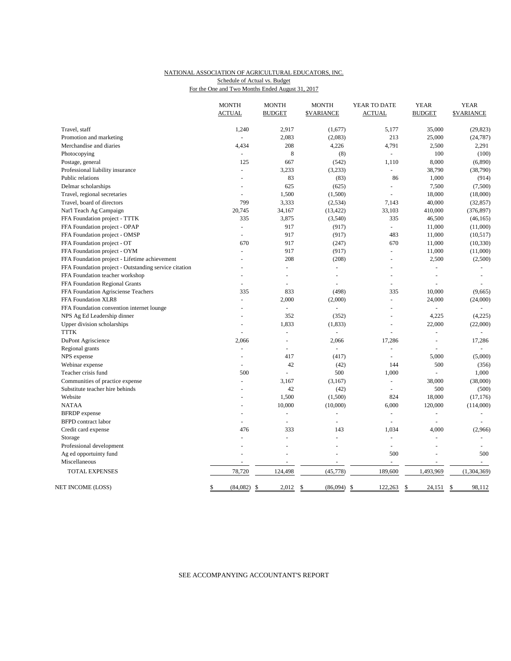## NATIONAL ASSOCIATION OF AGRICULTURAL EDUCATORS, INC. Schedule of Actual vs. Budget

| For the One and Two Months Ended August 31, 2017 |  |  |  |
|--------------------------------------------------|--|--|--|
|                                                  |  |  |  |

|                                                       | <b>MONTH</b><br><b>ACTUAL</b> | <b>MONTH</b><br><b>BUDGET</b> | <b>MONTH</b><br><b>\$VARIANCE</b> | YEAR TO DATE<br><b>ACTUAL</b> | <b>YEAR</b><br><b>BUDGET</b> | <b>YEAR</b><br><b>SVARIANCE</b> |
|-------------------------------------------------------|-------------------------------|-------------------------------|-----------------------------------|-------------------------------|------------------------------|---------------------------------|
| Travel, staff                                         | 1,240                         | 2,917                         | (1,677)                           | 5,177                         | 35,000                       | (29, 823)                       |
| Promotion and marketing                               |                               | 2,083                         | (2,083)                           | 213                           | 25,000                       | (24, 787)                       |
| Merchandise and diaries                               | 4,434                         | 208                           | 4,226                             | 4,791                         | 2,500                        | 2,291                           |
| Photocopying                                          | $\overline{\phantom{a}}$      | 8                             | (8)                               | $\omega$                      | 100                          | (100)                           |
| Postage, general                                      | 125                           | 667                           | (542)                             | 1,110                         | 8,000                        | (6,890)                         |
| Professional liability insurance                      |                               | 3,233                         | (3,233)                           |                               | 38,790                       | (38,790)                        |
| Public relations                                      |                               | 83                            | (83)                              | 86                            | 1,000                        | (914)                           |
| Delmar scholarships                                   | $\overline{\phantom{a}}$      | 625                           | (625)                             | $\equiv$                      | 7,500                        | (7,500)                         |
| Travel, regional secretaries                          | $\overline{a}$                | 1,500                         | (1,500)                           |                               | 18,000                       | (18,000)                        |
| Travel, board of directors                            | 799                           | 3,333                         | (2,534)                           | 7,143                         | 40,000                       | (32, 857)                       |
| Nat'l Teach Ag Campaign                               | 20,745                        | 34,167                        | (13, 422)                         | 33,103                        | 410,000                      | (376, 897)                      |
| FFA Foundation project - TTTK                         | 335                           | 3,875                         | (3,540)                           | 335                           | 46,500                       | (46, 165)                       |
| FFA Foundation project - OPAP                         | $\sim$                        | 917                           | (917)                             | $\omega$ .                    | 11,000                       | (11,000)                        |
| FFA Foundation project - OMSP                         |                               | 917                           | (917)                             | 483                           | 11,000                       | (10, 517)                       |
| FFA Foundation project - OT                           | 670                           | 917                           | (247)                             | 670                           | 11,000                       | (10, 330)                       |
| FFA Foundation project - OYM                          |                               | 917                           | (917)                             | $\sim$                        | 11,000                       | (11,000)                        |
| FFA Foundation project - Lifetime achievement         |                               | 208                           | (208)                             | L,                            | 2,500                        | (2,500)                         |
| FFA Foundation project - Outstanding service citation |                               | $\overline{a}$                |                                   |                               |                              |                                 |
| FFA Foundation teacher workshop                       |                               | $\overline{a}$                | $\overline{a}$                    |                               | ÷,                           | $\sim$                          |
| FFA Foundation Regional Grants                        |                               | $\overline{a}$                |                                   |                               |                              |                                 |
| FFA Foundation Agrisciense Teachers                   | 335                           | 833                           | (498)                             | 335                           | 10,000                       | (9,665)                         |
| FFA Foundation XLR8                                   |                               | 2,000                         | (2,000)                           | ÷                             | 24,000                       | (24,000)                        |
| FFA Foundation convention internet lounge             | $\overline{a}$                | L.                            |                                   | $\overline{a}$                |                              |                                 |
| NPS Ag Ed Leadership dinner                           |                               | 352                           | (352)                             | L.                            | 4,225                        | (4,225)                         |
| Upper division scholarships                           |                               | 1,833                         | (1, 833)                          |                               | 22,000                       | (22,000)                        |
| <b>TTTK</b>                                           |                               | $\overline{a}$                | $\bar{\phantom{a}}$               |                               | $\overline{a}$               | $\equiv$                        |
| DuPont Agriscience                                    | 2,066                         | $\overline{a}$                | 2,066                             | 17,286                        | ÷,                           | 17,286                          |
| Regional grants                                       | $\sim$                        | $\overline{a}$                | $\sim$                            |                               |                              |                                 |
| NPS expense                                           | $\overline{a}$                | 417                           | (417)                             | $\overline{a}$                | 5,000                        | (5,000)                         |
| Webinar expense                                       | $\blacksquare$                | 42                            | (42)                              | 144                           | 500                          | (356)                           |
| Teacher crisis fund                                   | 500                           | L                             | 500                               | 1,000                         |                              | 1,000                           |
| Communities of practice expense                       |                               | 3,167                         | (3,167)                           | $\sim$                        | 38,000                       | (38,000)                        |
| Substitute teacher hire behinds                       |                               | 42                            | (42)                              |                               | 500                          | (500)                           |
| Website                                               |                               | 1,500                         | (1,500)                           | 824                           | 18,000                       | (17, 176)                       |
| <b>NATAA</b>                                          |                               | 10,000                        | (10,000)                          | 6,000                         | 120,000                      | (114,000)                       |
| <b>BFRDP</b> expense                                  | $\overline{a}$                | $\sim$                        | ÷,                                | ÷                             | $\sim$                       | $\sim$                          |
| <b>BFPD</b> contract labor                            |                               | $\overline{a}$                | $\overline{a}$                    | $\overline{a}$                | $\overline{a}$               | $\overline{a}$                  |
| Credit card expense                                   | 476                           | 333                           | 143                               | 1.034                         | 4,000                        | (2,966)                         |
| Storage                                               |                               | L                             |                                   |                               |                              |                                 |
| Professional development                              |                               | $\overline{a}$                | $\overline{a}$                    | ÷,                            | L.                           |                                 |
| Ag ed opportuinty fund                                |                               |                               |                                   | 500                           | $\overline{a}$               | 500                             |
| Miscellaneous                                         |                               | $\overline{a}$                | $\overline{a}$                    | $\omega$                      | L.                           | $\omega$                        |
| <b>TOTAL EXPENSES</b>                                 | 78,720                        | 124,498                       | (45,778)                          | 189,600                       | 1,493,969                    | (1,304,369)                     |
| NET INCOME (LOSS)                                     |                               |                               |                                   |                               |                              |                                 |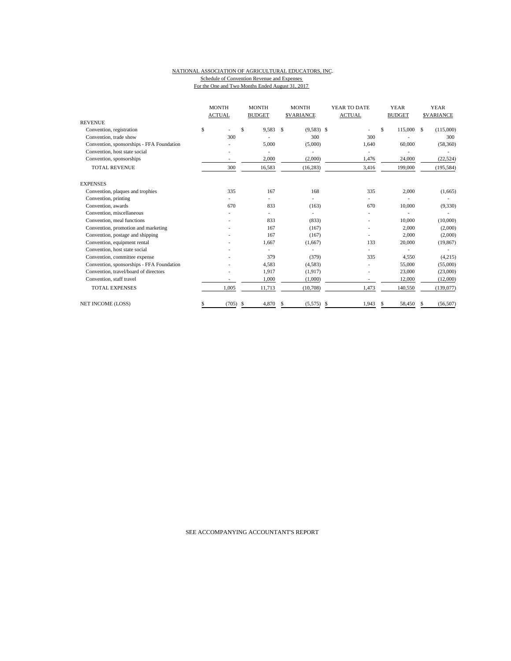#### NATIONAL ASSOCIATION OF AGRICULTURAL EDUCATORS, INC. Schedule of Convention Revenue and Expenses For the One and Two Months Ended August 31, 2017

| <b>REVENUE</b>                                                             | <b>MONTH</b><br><b>ACTUAL</b> |                          | <b>MONTH</b><br><b>BUDGET</b> |    | <b>MONTH</b><br><b>SVARIANCE</b> | YEAR TO DATE<br><b>ACTUAL</b> |    | <b>YEAR</b><br><b>BUDGET</b> | <b>YEAR</b><br><b>SVARIANCE</b> |
|----------------------------------------------------------------------------|-------------------------------|--------------------------|-------------------------------|----|----------------------------------|-------------------------------|----|------------------------------|---------------------------------|
| Convention, registration                                                   | \$                            |                          | \$<br>9,583                   | \$ | $(9,583)$ \$                     |                               | \$ | 115,000 \$                   | (115,000)                       |
| Convention, trade show                                                     |                               | 300                      |                               |    | 300                              | 300                           |    |                              | 300                             |
|                                                                            |                               |                          | 5,000                         |    | (5,000)                          |                               |    | 60,000                       |                                 |
| Convention, sponsorships - FFA Foundation<br>Convention, host state social |                               |                          |                               |    |                                  | 1,640                         |    |                              | (58,360)                        |
|                                                                            |                               |                          |                               |    |                                  |                               |    |                              |                                 |
| Convention, sponsorships                                                   |                               | $\overline{\phantom{a}}$ | 2,000                         |    | (2,000)                          | 1,476                         |    | 24,000                       | (22, 524)                       |
| <b>TOTAL REVENUE</b>                                                       |                               | 300                      | 16,583                        |    | (16, 283)                        | 3,416                         |    | 199,000                      | (195, 584)                      |
| <b>EXPENSES</b>                                                            |                               |                          |                               |    |                                  |                               |    |                              |                                 |
| Convention, plaques and trophies                                           |                               | 335                      | 167                           |    | 168                              | 335                           |    | 2,000                        | (1,665)                         |
| Convention, printing                                                       |                               |                          |                               |    |                                  |                               |    |                              |                                 |
| Convention, awards                                                         |                               | 670                      | 833                           |    | (163)                            | 670                           |    | 10,000                       | (9, 330)                        |
| Convention, miscellaneous                                                  |                               |                          |                               |    |                                  |                               |    |                              |                                 |
| Convention, meal functions                                                 |                               |                          | 833                           |    | (833)                            |                               |    | 10,000                       | (10,000)                        |
| Convention, promotion and marketing                                        |                               |                          | 167                           |    | (167)                            |                               |    | 2,000                        | (2,000)                         |
| Convention, postage and shipping                                           |                               |                          | 167                           |    | (167)                            |                               |    | 2,000                        | (2,000)                         |
| Convention, equipment rental                                               |                               |                          | 1.667                         |    | (1,667)                          | 133                           |    | 20,000                       | (19, 867)                       |
| Convention, host state social                                              |                               |                          |                               |    |                                  |                               |    |                              |                                 |
| Convention, committee expense                                              |                               |                          | 379                           |    | (379)                            | 335                           |    | 4,550                        | (4,215)                         |
| Convention, sponsorships - FFA Foundation                                  |                               |                          | 4,583                         |    | (4,583)                          |                               |    | 55,000                       | (55,000)                        |
| Convention, travel/board of directors                                      |                               |                          | 1,917                         |    | (1,917)                          |                               |    | 23,000                       | (23,000)                        |
| Convention, staff travel                                                   |                               |                          | 1,000                         |    | (1,000)                          | ٠                             |    | 12,000                       | (12,000)                        |
| <b>TOTAL EXPENSES</b>                                                      |                               | 1.005                    | 11,713                        |    | (10,708)                         | 1,473                         |    | 140,550                      | (139,077)                       |
| <b>NET INCOME (LOSS)</b>                                                   |                               | (705)                    | 4,870<br>S                    | S. | (5,575)                          | \$<br>1,943                   | S. | 58,450                       | (56, 507)                       |